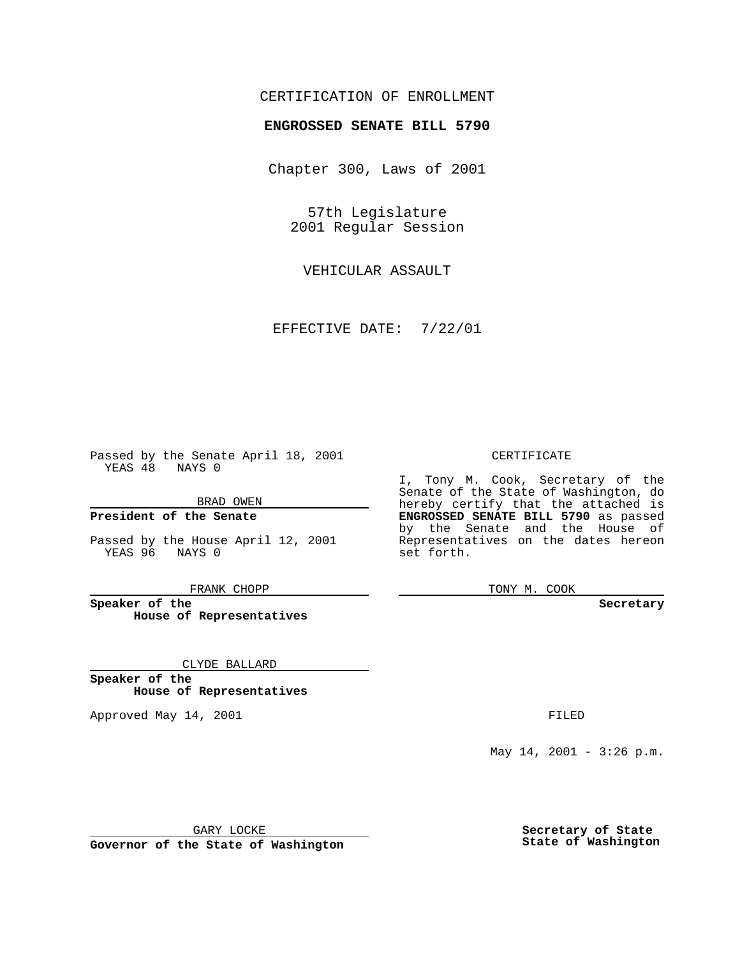## CERTIFICATION OF ENROLLMENT

# **ENGROSSED SENATE BILL 5790**

Chapter 300, Laws of 2001

57th Legislature 2001 Regular Session

VEHICULAR ASSAULT

EFFECTIVE DATE: 7/22/01

Passed by the Senate April 18, 2001 YEAS 48 NAYS 0

BRAD OWEN

**President of the Senate**

Passed by the House April 12, 2001 YEAS 96 NAYS 0

FRANK CHOPP

**Speaker of the House of Representatives**

CLYDE BALLARD

**Speaker of the House of Representatives**

Approved May 14, 2001 **FILED** 

#### CERTIFICATE

I, Tony M. Cook, Secretary of the Senate of the State of Washington, do hereby certify that the attached is **ENGROSSED SENATE BILL 5790** as passed by the Senate and the House of Representatives on the dates hereon set forth.

TONY M. COOK

#### **Secretary**

May 14, 2001 - 3:26 p.m.

GARY LOCKE

**Governor of the State of Washington**

**Secretary of State State of Washington**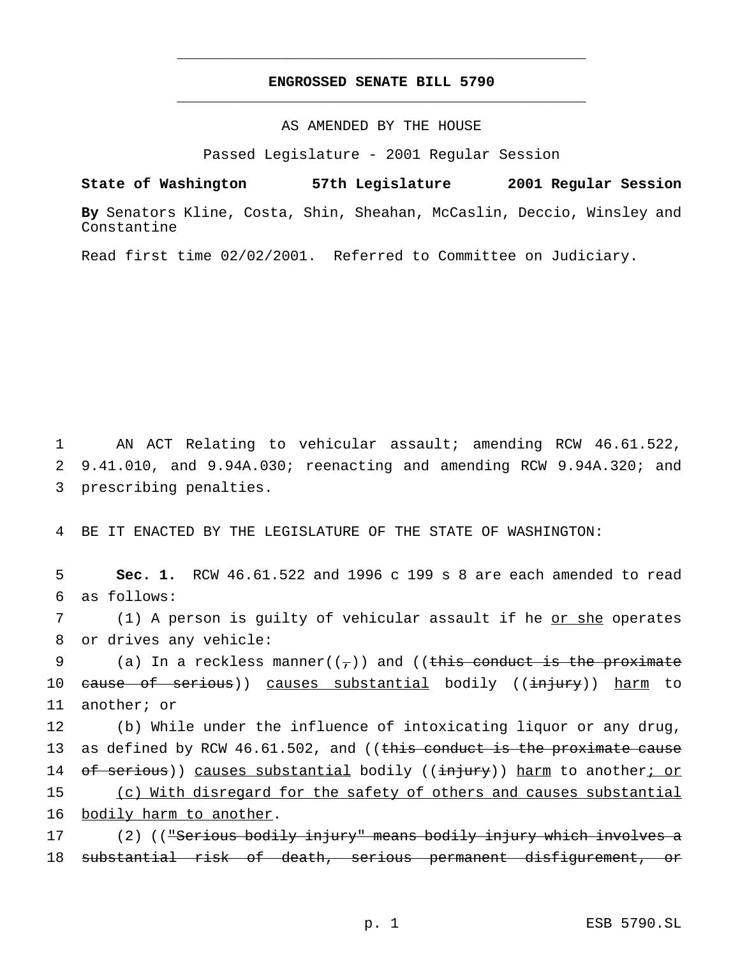## **ENGROSSED SENATE BILL 5790** \_\_\_\_\_\_\_\_\_\_\_\_\_\_\_\_\_\_\_\_\_\_\_\_\_\_\_\_\_\_\_\_\_\_\_\_\_\_\_\_\_\_\_\_\_\_\_

\_\_\_\_\_\_\_\_\_\_\_\_\_\_\_\_\_\_\_\_\_\_\_\_\_\_\_\_\_\_\_\_\_\_\_\_\_\_\_\_\_\_\_\_\_\_\_

### AS AMENDED BY THE HOUSE

Passed Legislature - 2001 Regular Session

**State of Washington 57th Legislature 2001 Regular Session**

**By** Senators Kline, Costa, Shin, Sheahan, McCaslin, Deccio, Winsley and Constantine

Read first time 02/02/2001. Referred to Committee on Judiciary.

1 AN ACT Relating to vehicular assault; amending RCW 46.61.522, 2 9.41.010, and 9.94A.030; reenacting and amending RCW 9.94A.320; and 3 prescribing penalties.

4 BE IT ENACTED BY THE LEGISLATURE OF THE STATE OF WASHINGTON:

5 **Sec. 1.** RCW 46.61.522 and 1996 c 199 s 8 are each amended to read 6 as follows:

7 (1) A person is guilty of vehicular assault if he or she operates 8 or drives any vehicle:

9 (a) In a reckless manner( $(\tau)$ ) and ((this conduct is the proximate 10 <del>cause of serious</del>)) causes substantial bodily ((<del>injury</del>)) harm to 11 another; or

12 (b) While under the influence of intoxicating liquor or any drug, 13 as defined by RCW 46.61.502, and ((this conduct is the proximate cause 14 of serious)) causes substantial bodily ((injury)) harm to another; or 15 (c) With disregard for the safety of others and causes substantial 16 bodily harm to another.

17 (2) (("Serious bodily injury" means bodily injury which involves a 18 substantial risk of death, serious permanent disfigurement, or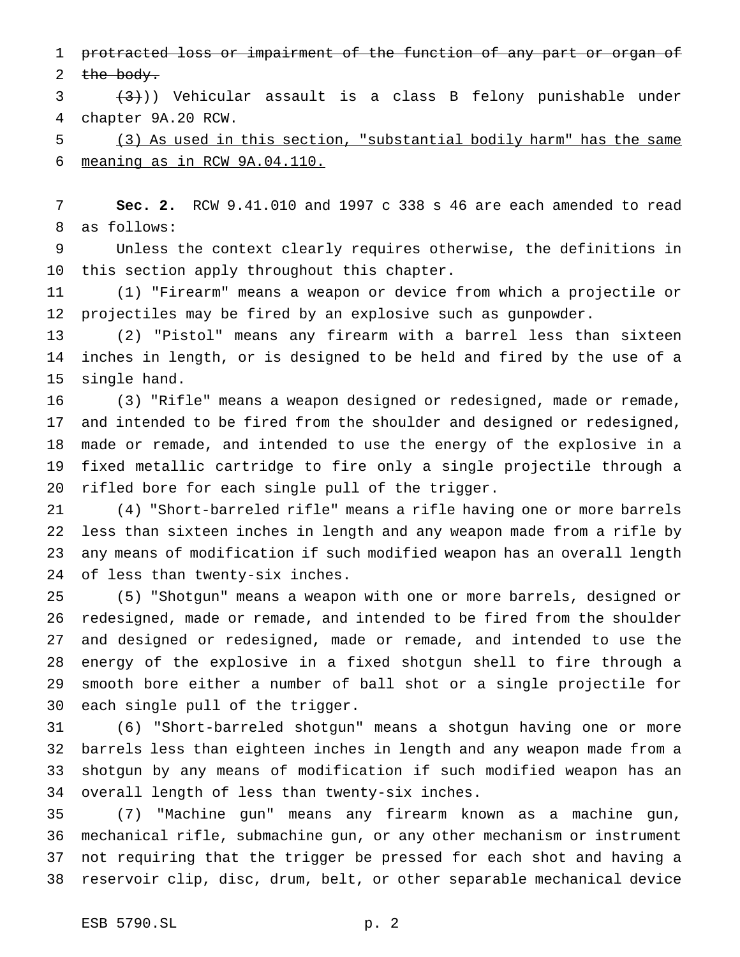1 protracted loss or impairment of the function of any part or organ of

 $the$  body.

 $3 \left( \frac{3}{3} \right)$ ) Vehicular assault is a class B felony punishable under chapter 9A.20 RCW.

 (3) As used in this section, "substantial bodily harm" has the same meaning as in RCW 9A.04.110.

 **Sec. 2.** RCW 9.41.010 and 1997 c 338 s 46 are each amended to read as follows:

 Unless the context clearly requires otherwise, the definitions in this section apply throughout this chapter.

 (1) "Firearm" means a weapon or device from which a projectile or projectiles may be fired by an explosive such as gunpowder.

 (2) "Pistol" means any firearm with a barrel less than sixteen inches in length, or is designed to be held and fired by the use of a single hand.

 (3) "Rifle" means a weapon designed or redesigned, made or remade, and intended to be fired from the shoulder and designed or redesigned, made or remade, and intended to use the energy of the explosive in a fixed metallic cartridge to fire only a single projectile through a rifled bore for each single pull of the trigger.

 (4) "Short-barreled rifle" means a rifle having one or more barrels less than sixteen inches in length and any weapon made from a rifle by any means of modification if such modified weapon has an overall length of less than twenty-six inches.

 (5) "Shotgun" means a weapon with one or more barrels, designed or redesigned, made or remade, and intended to be fired from the shoulder and designed or redesigned, made or remade, and intended to use the energy of the explosive in a fixed shotgun shell to fire through a smooth bore either a number of ball shot or a single projectile for each single pull of the trigger.

 (6) "Short-barreled shotgun" means a shotgun having one or more barrels less than eighteen inches in length and any weapon made from a shotgun by any means of modification if such modified weapon has an overall length of less than twenty-six inches.

 (7) "Machine gun" means any firearm known as a machine gun, mechanical rifle, submachine gun, or any other mechanism or instrument not requiring that the trigger be pressed for each shot and having a reservoir clip, disc, drum, belt, or other separable mechanical device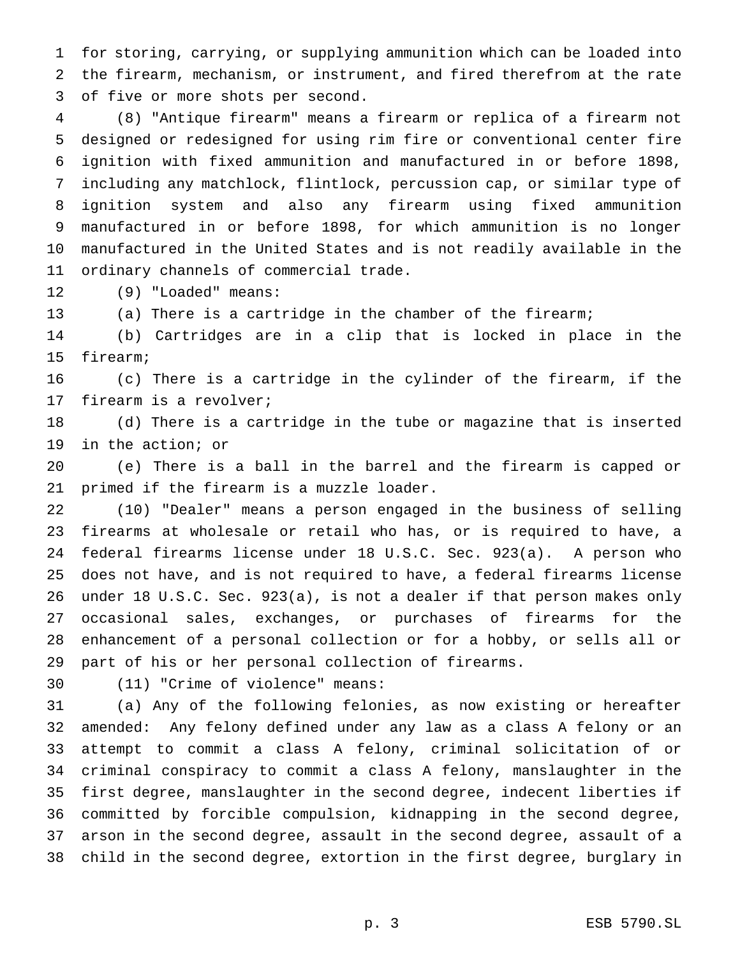for storing, carrying, or supplying ammunition which can be loaded into the firearm, mechanism, or instrument, and fired therefrom at the rate of five or more shots per second.

 (8) "Antique firearm" means a firearm or replica of a firearm not designed or redesigned for using rim fire or conventional center fire ignition with fixed ammunition and manufactured in or before 1898, including any matchlock, flintlock, percussion cap, or similar type of ignition system and also any firearm using fixed ammunition manufactured in or before 1898, for which ammunition is no longer manufactured in the United States and is not readily available in the ordinary channels of commercial trade.

(9) "Loaded" means:

(a) There is a cartridge in the chamber of the firearm;

 (b) Cartridges are in a clip that is locked in place in the firearm;

 (c) There is a cartridge in the cylinder of the firearm, if the firearm is a revolver;

 (d) There is a cartridge in the tube or magazine that is inserted in the action; or

 (e) There is a ball in the barrel and the firearm is capped or primed if the firearm is a muzzle loader.

 (10) "Dealer" means a person engaged in the business of selling firearms at wholesale or retail who has, or is required to have, a federal firearms license under 18 U.S.C. Sec. 923(a). A person who does not have, and is not required to have, a federal firearms license under 18 U.S.C. Sec. 923(a), is not a dealer if that person makes only occasional sales, exchanges, or purchases of firearms for the enhancement of a personal collection or for a hobby, or sells all or part of his or her personal collection of firearms.

(11) "Crime of violence" means:

 (a) Any of the following felonies, as now existing or hereafter amended: Any felony defined under any law as a class A felony or an attempt to commit a class A felony, criminal solicitation of or criminal conspiracy to commit a class A felony, manslaughter in the first degree, manslaughter in the second degree, indecent liberties if committed by forcible compulsion, kidnapping in the second degree, arson in the second degree, assault in the second degree, assault of a child in the second degree, extortion in the first degree, burglary in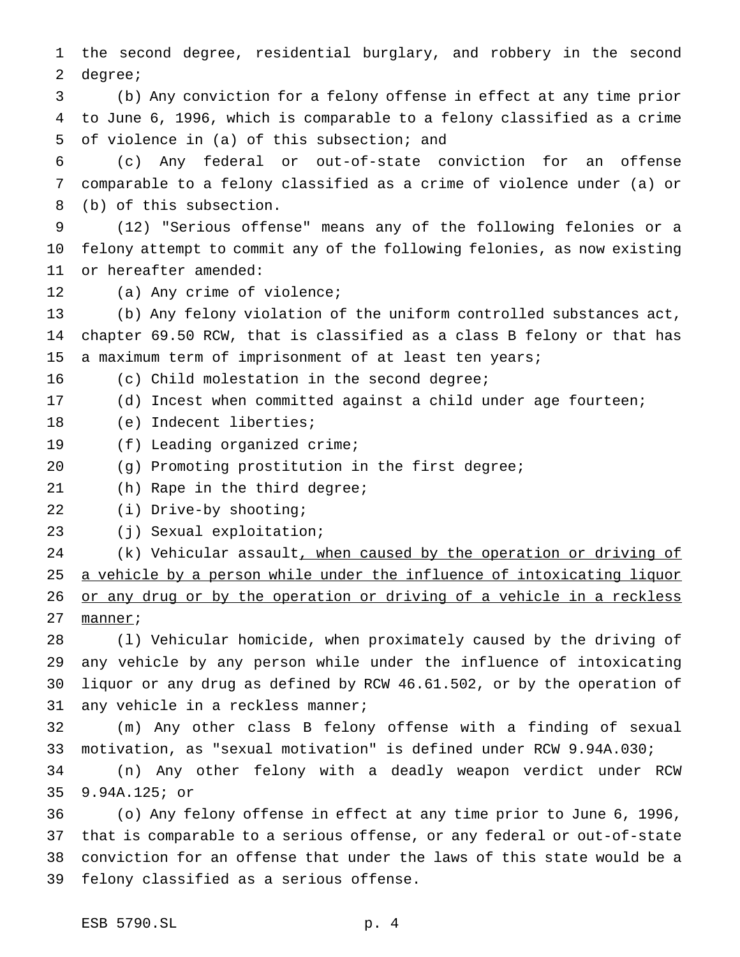the second degree, residential burglary, and robbery in the second degree;

 (b) Any conviction for a felony offense in effect at any time prior to June 6, 1996, which is comparable to a felony classified as a crime of violence in (a) of this subsection; and

 (c) Any federal or out-of-state conviction for an offense comparable to a felony classified as a crime of violence under (a) or (b) of this subsection.

 (12) "Serious offense" means any of the following felonies or a felony attempt to commit any of the following felonies, as now existing or hereafter amended:

(a) Any crime of violence;

 (b) Any felony violation of the uniform controlled substances act, chapter 69.50 RCW, that is classified as a class B felony or that has a maximum term of imprisonment of at least ten years;

(c) Child molestation in the second degree;

(d) Incest when committed against a child under age fourteen;

- (e) Indecent liberties;
- (f) Leading organized crime;
- (g) Promoting prostitution in the first degree;
- (h) Rape in the third degree;

(i) Drive-by shooting;

(j) Sexual exploitation;

24 (k) Vehicular assault, when caused by the operation or driving of 25 a vehicle by a person while under the influence of intoxicating liquor 26 or any drug or by the operation or driving of a vehicle in a reckless manner;

 (l) Vehicular homicide, when proximately caused by the driving of any vehicle by any person while under the influence of intoxicating liquor or any drug as defined by RCW 46.61.502, or by the operation of any vehicle in a reckless manner;

 (m) Any other class B felony offense with a finding of sexual motivation, as "sexual motivation" is defined under RCW 9.94A.030;

 (n) Any other felony with a deadly weapon verdict under RCW 9.94A.125; or

 (o) Any felony offense in effect at any time prior to June 6, 1996, that is comparable to a serious offense, or any federal or out-of-state conviction for an offense that under the laws of this state would be a felony classified as a serious offense.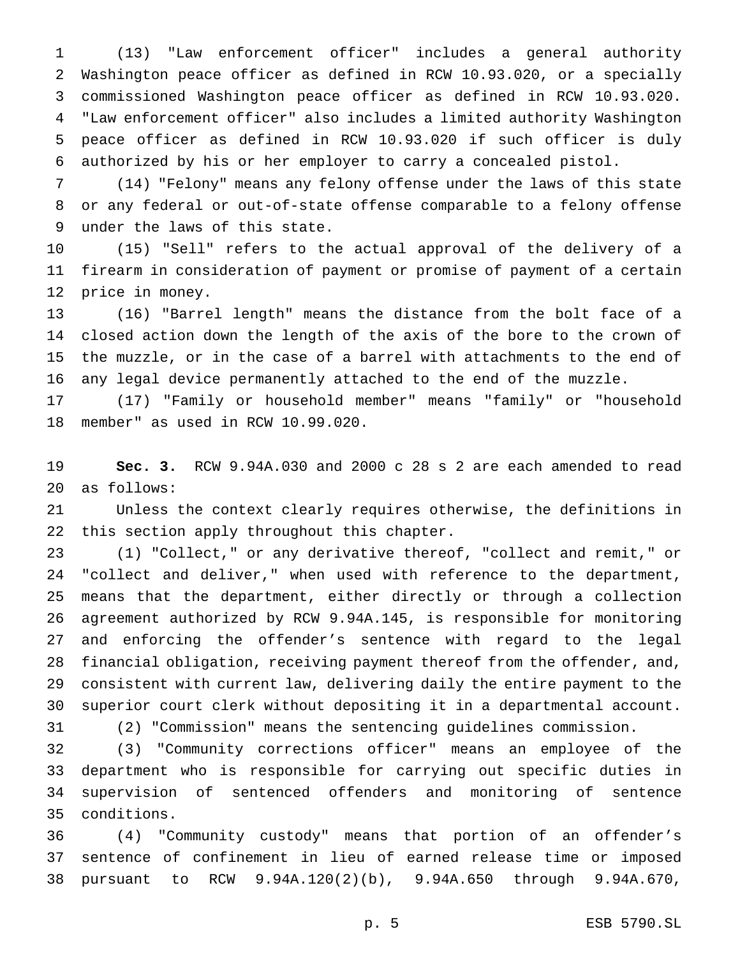(13) "Law enforcement officer" includes a general authority Washington peace officer as defined in RCW 10.93.020, or a specially commissioned Washington peace officer as defined in RCW 10.93.020. "Law enforcement officer" also includes a limited authority Washington peace officer as defined in RCW 10.93.020 if such officer is duly authorized by his or her employer to carry a concealed pistol.

 (14) "Felony" means any felony offense under the laws of this state or any federal or out-of-state offense comparable to a felony offense under the laws of this state.

 (15) "Sell" refers to the actual approval of the delivery of a firearm in consideration of payment or promise of payment of a certain price in money.

 (16) "Barrel length" means the distance from the bolt face of a closed action down the length of the axis of the bore to the crown of the muzzle, or in the case of a barrel with attachments to the end of any legal device permanently attached to the end of the muzzle.

 (17) "Family or household member" means "family" or "household member" as used in RCW 10.99.020.

 **Sec. 3.** RCW 9.94A.030 and 2000 c 28 s 2 are each amended to read as follows:

 Unless the context clearly requires otherwise, the definitions in this section apply throughout this chapter.

 (1) "Collect," or any derivative thereof, "collect and remit," or "collect and deliver," when used with reference to the department, means that the department, either directly or through a collection agreement authorized by RCW 9.94A.145, is responsible for monitoring and enforcing the offender's sentence with regard to the legal financial obligation, receiving payment thereof from the offender, and, consistent with current law, delivering daily the entire payment to the superior court clerk without depositing it in a departmental account. (2) "Commission" means the sentencing guidelines commission.

 (3) "Community corrections officer" means an employee of the department who is responsible for carrying out specific duties in supervision of sentenced offenders and monitoring of sentence conditions.

 (4) "Community custody" means that portion of an offender's sentence of confinement in lieu of earned release time or imposed pursuant to RCW 9.94A.120(2)(b), 9.94A.650 through 9.94A.670,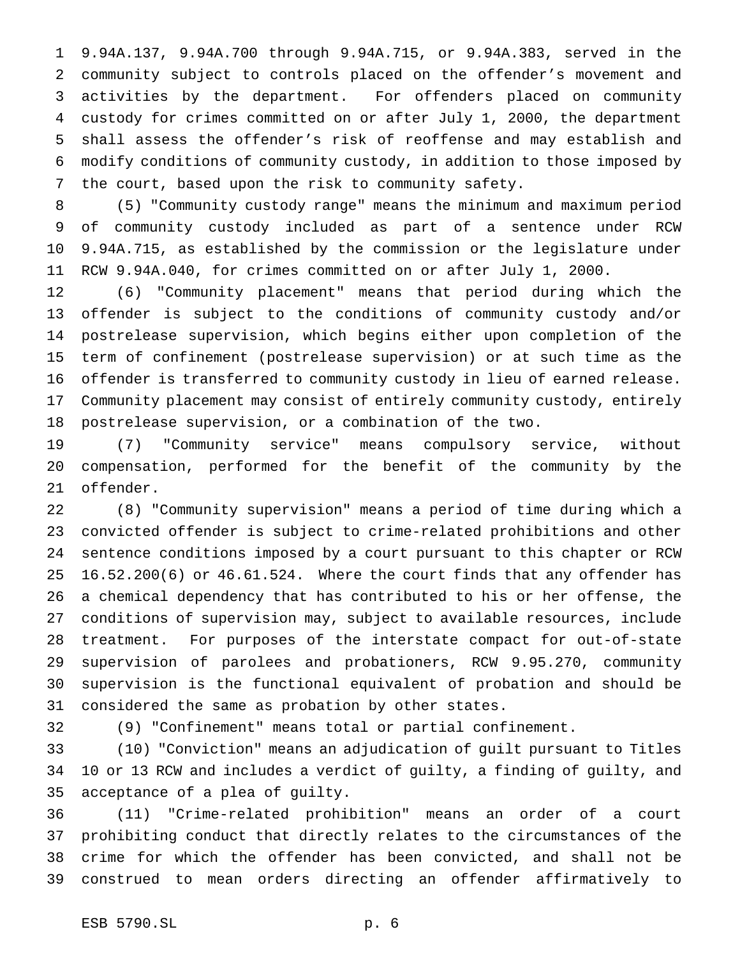9.94A.137, 9.94A.700 through 9.94A.715, or 9.94A.383, served in the community subject to controls placed on the offender's movement and activities by the department. For offenders placed on community custody for crimes committed on or after July 1, 2000, the department shall assess the offender's risk of reoffense and may establish and modify conditions of community custody, in addition to those imposed by the court, based upon the risk to community safety.

 (5) "Community custody range" means the minimum and maximum period of community custody included as part of a sentence under RCW 9.94A.715, as established by the commission or the legislature under RCW 9.94A.040, for crimes committed on or after July 1, 2000.

 (6) "Community placement" means that period during which the offender is subject to the conditions of community custody and/or postrelease supervision, which begins either upon completion of the term of confinement (postrelease supervision) or at such time as the offender is transferred to community custody in lieu of earned release. Community placement may consist of entirely community custody, entirely postrelease supervision, or a combination of the two.

 (7) "Community service" means compulsory service, without compensation, performed for the benefit of the community by the offender.

 (8) "Community supervision" means a period of time during which a convicted offender is subject to crime-related prohibitions and other sentence conditions imposed by a court pursuant to this chapter or RCW 16.52.200(6) or 46.61.524. Where the court finds that any offender has a chemical dependency that has contributed to his or her offense, the conditions of supervision may, subject to available resources, include treatment. For purposes of the interstate compact for out-of-state supervision of parolees and probationers, RCW 9.95.270, community supervision is the functional equivalent of probation and should be considered the same as probation by other states.

(9) "Confinement" means total or partial confinement.

 (10) "Conviction" means an adjudication of guilt pursuant to Titles 10 or 13 RCW and includes a verdict of guilty, a finding of guilty, and acceptance of a plea of guilty.

 (11) "Crime-related prohibition" means an order of a court prohibiting conduct that directly relates to the circumstances of the crime for which the offender has been convicted, and shall not be construed to mean orders directing an offender affirmatively to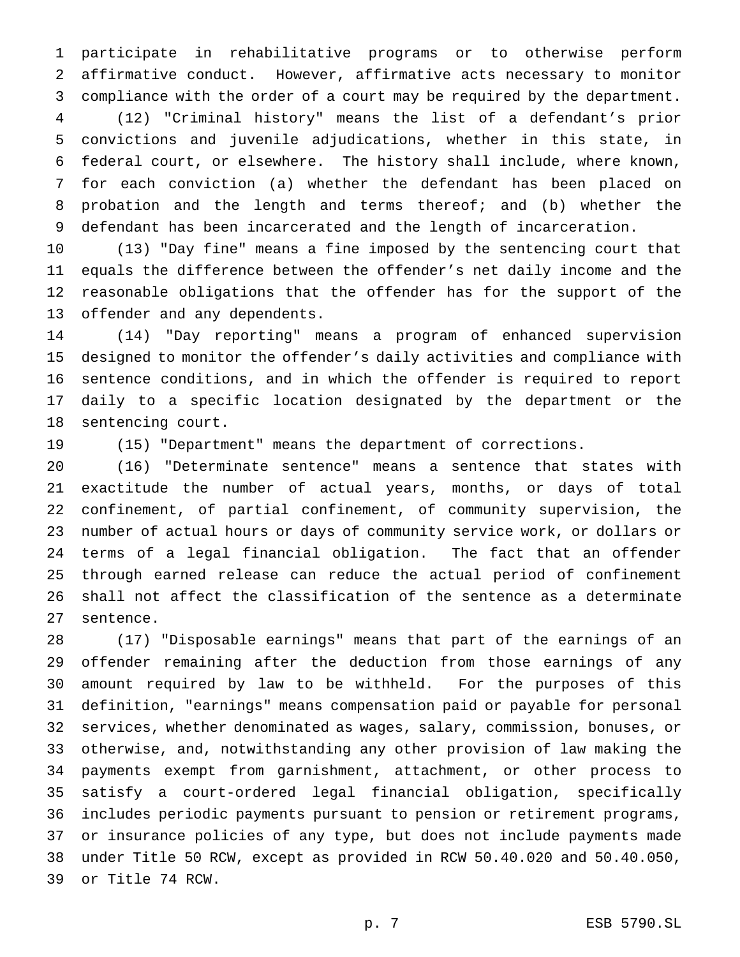participate in rehabilitative programs or to otherwise perform affirmative conduct. However, affirmative acts necessary to monitor compliance with the order of a court may be required by the department.

 (12) "Criminal history" means the list of a defendant's prior convictions and juvenile adjudications, whether in this state, in federal court, or elsewhere. The history shall include, where known, for each conviction (a) whether the defendant has been placed on probation and the length and terms thereof; and (b) whether the defendant has been incarcerated and the length of incarceration.

 (13) "Day fine" means a fine imposed by the sentencing court that equals the difference between the offender's net daily income and the reasonable obligations that the offender has for the support of the offender and any dependents.

 (14) "Day reporting" means a program of enhanced supervision designed to monitor the offender's daily activities and compliance with sentence conditions, and in which the offender is required to report daily to a specific location designated by the department or the sentencing court.

(15) "Department" means the department of corrections.

 (16) "Determinate sentence" means a sentence that states with exactitude the number of actual years, months, or days of total confinement, of partial confinement, of community supervision, the number of actual hours or days of community service work, or dollars or terms of a legal financial obligation. The fact that an offender through earned release can reduce the actual period of confinement shall not affect the classification of the sentence as a determinate sentence.

 (17) "Disposable earnings" means that part of the earnings of an offender remaining after the deduction from those earnings of any amount required by law to be withheld. For the purposes of this definition, "earnings" means compensation paid or payable for personal services, whether denominated as wages, salary, commission, bonuses, or otherwise, and, notwithstanding any other provision of law making the payments exempt from garnishment, attachment, or other process to satisfy a court-ordered legal financial obligation, specifically includes periodic payments pursuant to pension or retirement programs, or insurance policies of any type, but does not include payments made under Title 50 RCW, except as provided in RCW 50.40.020 and 50.40.050, or Title 74 RCW.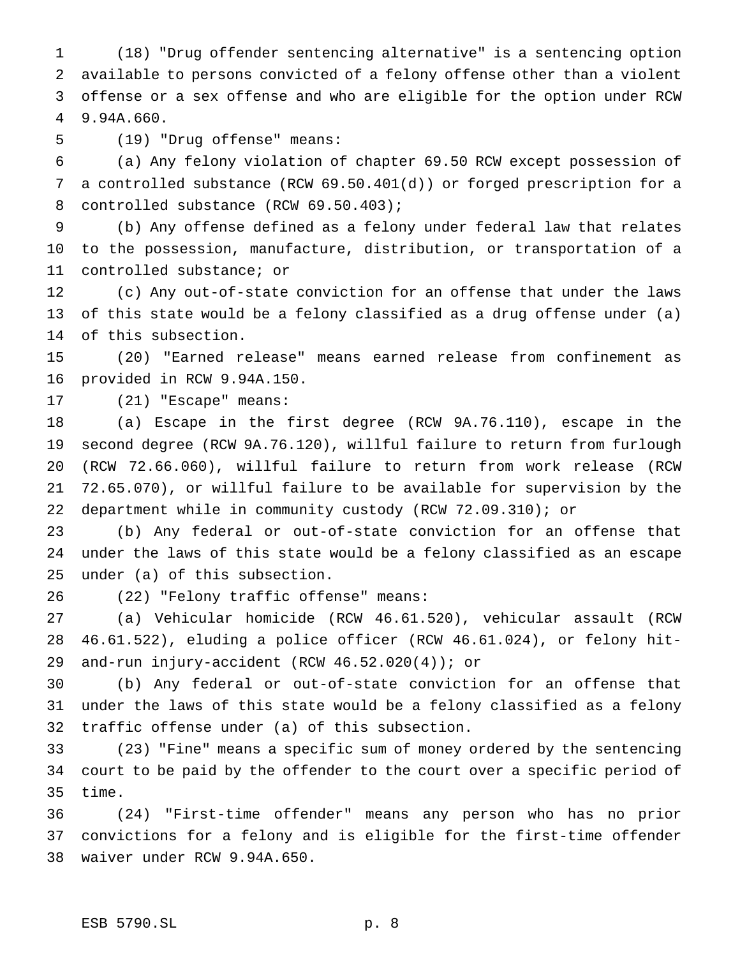(18) "Drug offender sentencing alternative" is a sentencing option available to persons convicted of a felony offense other than a violent offense or a sex offense and who are eligible for the option under RCW 9.94A.660.

(19) "Drug offense" means:

 (a) Any felony violation of chapter 69.50 RCW except possession of a controlled substance (RCW 69.50.401(d)) or forged prescription for a 8 controlled substance (RCW 69.50.403);

 (b) Any offense defined as a felony under federal law that relates to the possession, manufacture, distribution, or transportation of a controlled substance; or

 (c) Any out-of-state conviction for an offense that under the laws of this state would be a felony classified as a drug offense under (a) of this subsection.

 (20) "Earned release" means earned release from confinement as provided in RCW 9.94A.150.

(21) "Escape" means:

 (a) Escape in the first degree (RCW 9A.76.110), escape in the second degree (RCW 9A.76.120), willful failure to return from furlough (RCW 72.66.060), willful failure to return from work release (RCW 72.65.070), or willful failure to be available for supervision by the department while in community custody (RCW 72.09.310); or

 (b) Any federal or out-of-state conviction for an offense that under the laws of this state would be a felony classified as an escape under (a) of this subsection.

(22) "Felony traffic offense" means:

 (a) Vehicular homicide (RCW 46.61.520), vehicular assault (RCW 46.61.522), eluding a police officer (RCW 46.61.024), or felony hit-and-run injury-accident (RCW 46.52.020(4)); or

 (b) Any federal or out-of-state conviction for an offense that under the laws of this state would be a felony classified as a felony traffic offense under (a) of this subsection.

 (23) "Fine" means a specific sum of money ordered by the sentencing court to be paid by the offender to the court over a specific period of time.

 (24) "First-time offender" means any person who has no prior convictions for a felony and is eligible for the first-time offender waiver under RCW 9.94A.650.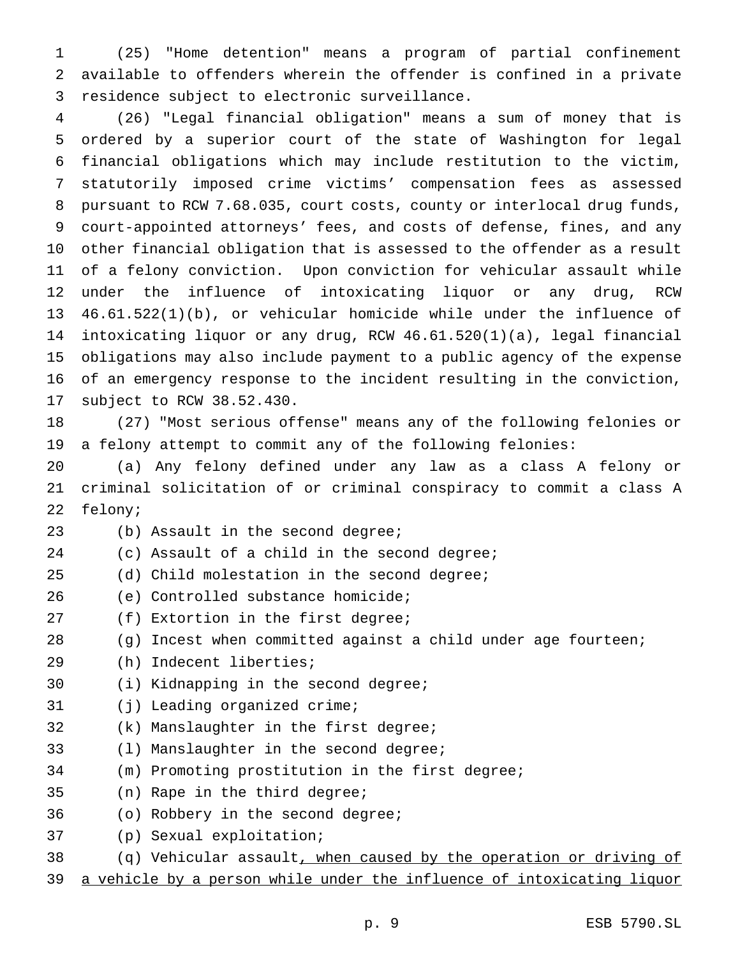(25) "Home detention" means a program of partial confinement available to offenders wherein the offender is confined in a private residence subject to electronic surveillance.

 (26) "Legal financial obligation" means a sum of money that is ordered by a superior court of the state of Washington for legal financial obligations which may include restitution to the victim, statutorily imposed crime victims' compensation fees as assessed pursuant to RCW 7.68.035, court costs, county or interlocal drug funds, court-appointed attorneys' fees, and costs of defense, fines, and any other financial obligation that is assessed to the offender as a result of a felony conviction. Upon conviction for vehicular assault while under the influence of intoxicating liquor or any drug, RCW 46.61.522(1)(b), or vehicular homicide while under the influence of intoxicating liquor or any drug, RCW 46.61.520(1)(a), legal financial obligations may also include payment to a public agency of the expense of an emergency response to the incident resulting in the conviction, subject to RCW 38.52.430.

 (27) "Most serious offense" means any of the following felonies or a felony attempt to commit any of the following felonies:

 (a) Any felony defined under any law as a class A felony or criminal solicitation of or criminal conspiracy to commit a class A felony;

(b) Assault in the second degree;

(c) Assault of a child in the second degree;

(d) Child molestation in the second degree;

(e) Controlled substance homicide;

(f) Extortion in the first degree;

(g) Incest when committed against a child under age fourteen;

- (h) Indecent liberties;
- (i) Kidnapping in the second degree;
- (j) Leading organized crime;
- (k) Manslaughter in the first degree;
- (l) Manslaughter in the second degree;
- (m) Promoting prostitution in the first degree;
- (n) Rape in the third degree;
- (o) Robbery in the second degree;
- (p) Sexual exploitation;
- 38 (q) Vehicular assault, when caused by the operation or driving of
- a vehicle by a person while under the influence of intoxicating liquor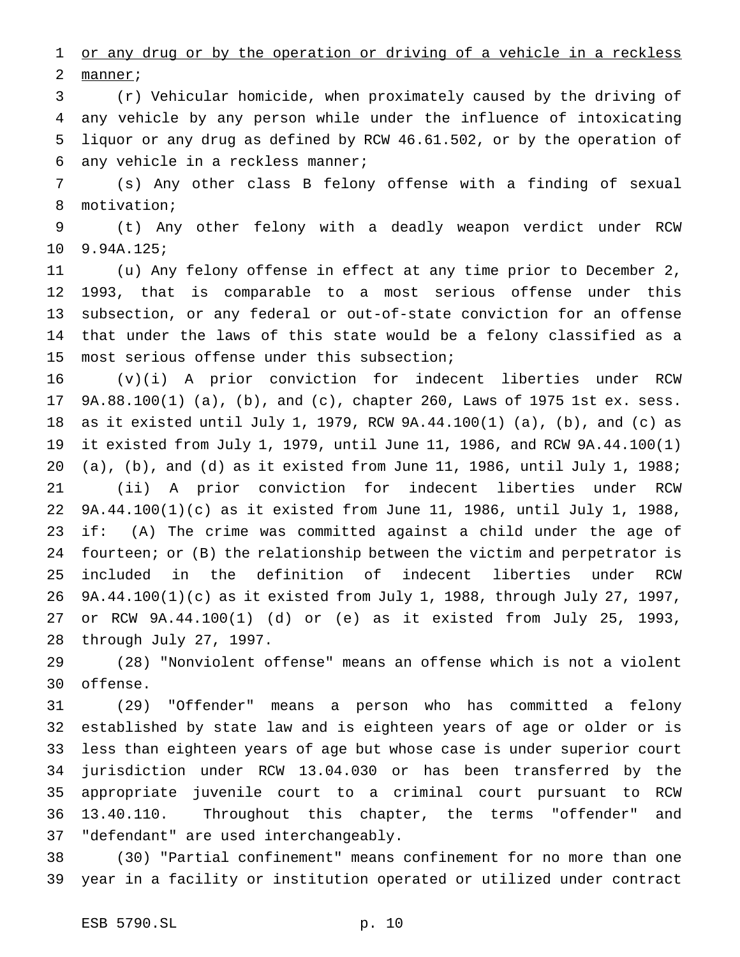1 or any drug or by the operation or driving of a vehicle in a reckless 2 manner;

 (r) Vehicular homicide, when proximately caused by the driving of any vehicle by any person while under the influence of intoxicating liquor or any drug as defined by RCW 46.61.502, or by the operation of any vehicle in a reckless manner;

 (s) Any other class B felony offense with a finding of sexual motivation;

 (t) Any other felony with a deadly weapon verdict under RCW 9.94A.125;

 (u) Any felony offense in effect at any time prior to December 2, 1993, that is comparable to a most serious offense under this subsection, or any federal or out-of-state conviction for an offense that under the laws of this state would be a felony classified as a most serious offense under this subsection;

 (v)(i) A prior conviction for indecent liberties under RCW 9A.88.100(1) (a), (b), and (c), chapter 260, Laws of 1975 1st ex. sess. as it existed until July 1, 1979, RCW 9A.44.100(1) (a), (b), and (c) as it existed from July 1, 1979, until June 11, 1986, and RCW 9A.44.100(1) (a), (b), and (d) as it existed from June 11, 1986, until July 1, 1988; (ii) A prior conviction for indecent liberties under RCW 9A.44.100(1)(c) as it existed from June 11, 1986, until July 1, 1988, if: (A) The crime was committed against a child under the age of fourteen; or (B) the relationship between the victim and perpetrator is included in the definition of indecent liberties under RCW 9A.44.100(1)(c) as it existed from July 1, 1988, through July 27, 1997, or RCW 9A.44.100(1) (d) or (e) as it existed from July 25, 1993, through July 27, 1997.

 (28) "Nonviolent offense" means an offense which is not a violent offense.

 (29) "Offender" means a person who has committed a felony established by state law and is eighteen years of age or older or is less than eighteen years of age but whose case is under superior court jurisdiction under RCW 13.04.030 or has been transferred by the appropriate juvenile court to a criminal court pursuant to RCW 13.40.110. Throughout this chapter, the terms "offender" and "defendant" are used interchangeably.

 (30) "Partial confinement" means confinement for no more than one year in a facility or institution operated or utilized under contract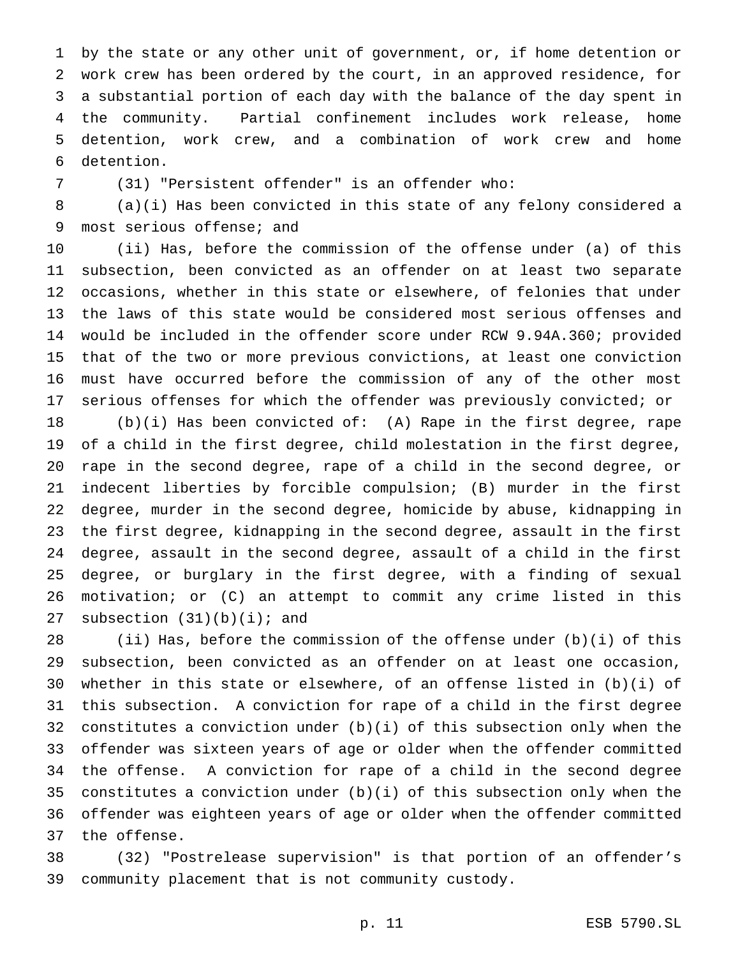by the state or any other unit of government, or, if home detention or work crew has been ordered by the court, in an approved residence, for a substantial portion of each day with the balance of the day spent in the community. Partial confinement includes work release, home detention, work crew, and a combination of work crew and home detention.

(31) "Persistent offender" is an offender who:

 (a)(i) Has been convicted in this state of any felony considered a most serious offense; and

 (ii) Has, before the commission of the offense under (a) of this subsection, been convicted as an offender on at least two separate occasions, whether in this state or elsewhere, of felonies that under the laws of this state would be considered most serious offenses and would be included in the offender score under RCW 9.94A.360; provided that of the two or more previous convictions, at least one conviction must have occurred before the commission of any of the other most serious offenses for which the offender was previously convicted; or

 (b)(i) Has been convicted of: (A) Rape in the first degree, rape of a child in the first degree, child molestation in the first degree, rape in the second degree, rape of a child in the second degree, or indecent liberties by forcible compulsion; (B) murder in the first degree, murder in the second degree, homicide by abuse, kidnapping in the first degree, kidnapping in the second degree, assault in the first degree, assault in the second degree, assault of a child in the first degree, or burglary in the first degree, with a finding of sexual motivation; or (C) an attempt to commit any crime listed in this 27 subsection  $(31)(b)(i)$ ; and

 (ii) Has, before the commission of the offense under (b)(i) of this subsection, been convicted as an offender on at least one occasion, whether in this state or elsewhere, of an offense listed in (b)(i) of this subsection. A conviction for rape of a child in the first degree constitutes a conviction under (b)(i) of this subsection only when the offender was sixteen years of age or older when the offender committed the offense. A conviction for rape of a child in the second degree constitutes a conviction under (b)(i) of this subsection only when the offender was eighteen years of age or older when the offender committed the offense.

 (32) "Postrelease supervision" is that portion of an offender's community placement that is not community custody.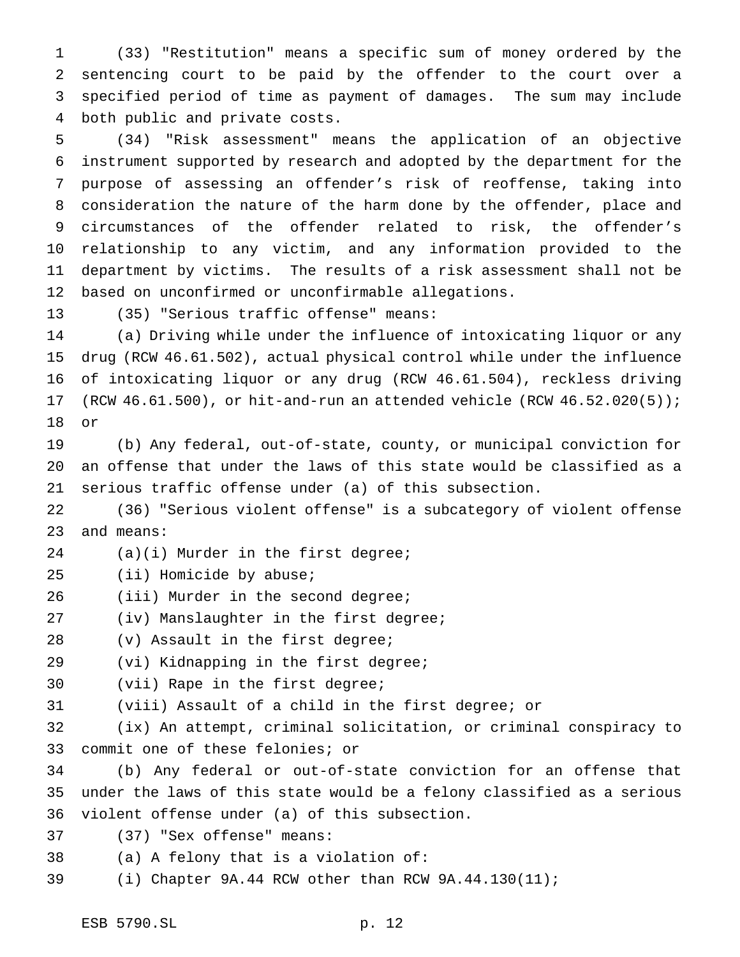(33) "Restitution" means a specific sum of money ordered by the sentencing court to be paid by the offender to the court over a specified period of time as payment of damages. The sum may include both public and private costs.

 (34) "Risk assessment" means the application of an objective instrument supported by research and adopted by the department for the purpose of assessing an offender's risk of reoffense, taking into consideration the nature of the harm done by the offender, place and circumstances of the offender related to risk, the offender's relationship to any victim, and any information provided to the department by victims. The results of a risk assessment shall not be based on unconfirmed or unconfirmable allegations.

(35) "Serious traffic offense" means:

 (a) Driving while under the influence of intoxicating liquor or any drug (RCW 46.61.502), actual physical control while under the influence of intoxicating liquor or any drug (RCW 46.61.504), reckless driving (RCW 46.61.500), or hit-and-run an attended vehicle (RCW 46.52.020(5)); or

 (b) Any federal, out-of-state, county, or municipal conviction for an offense that under the laws of this state would be classified as a serious traffic offense under (a) of this subsection.

 (36) "Serious violent offense" is a subcategory of violent offense and means:

(a)(i) Murder in the first degree;

- (ii) Homicide by abuse;
- 26 (iii) Murder in the second degree;
- (iv) Manslaughter in the first degree;
- 28 (v) Assault in the first degree;
- (vi) Kidnapping in the first degree;
- (vii) Rape in the first degree;

(viii) Assault of a child in the first degree; or

 (ix) An attempt, criminal solicitation, or criminal conspiracy to commit one of these felonies; or

 (b) Any federal or out-of-state conviction for an offense that under the laws of this state would be a felony classified as a serious violent offense under (a) of this subsection.

(37) "Sex offense" means:

(a) A felony that is a violation of:

(i) Chapter 9A.44 RCW other than RCW 9A.44.130(11);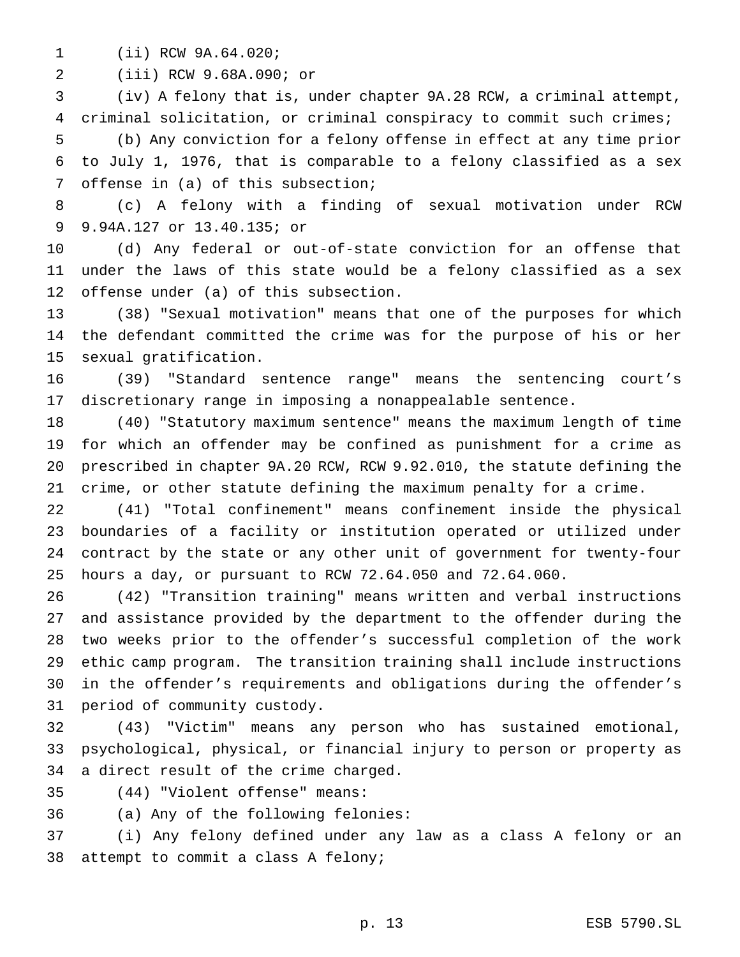(ii) RCW 9A.64.020;

(iii) RCW 9.68A.090; or

 (iv) A felony that is, under chapter 9A.28 RCW, a criminal attempt, criminal solicitation, or criminal conspiracy to commit such crimes; (b) Any conviction for a felony offense in effect at any time prior

 to July 1, 1976, that is comparable to a felony classified as a sex offense in (a) of this subsection;

 (c) A felony with a finding of sexual motivation under RCW 9.94A.127 or 13.40.135; or

 (d) Any federal or out-of-state conviction for an offense that under the laws of this state would be a felony classified as a sex offense under (a) of this subsection.

 (38) "Sexual motivation" means that one of the purposes for which the defendant committed the crime was for the purpose of his or her sexual gratification.

 (39) "Standard sentence range" means the sentencing court's discretionary range in imposing a nonappealable sentence.

 (40) "Statutory maximum sentence" means the maximum length of time for which an offender may be confined as punishment for a crime as prescribed in chapter 9A.20 RCW, RCW 9.92.010, the statute defining the crime, or other statute defining the maximum penalty for a crime.

 (41) "Total confinement" means confinement inside the physical boundaries of a facility or institution operated or utilized under contract by the state or any other unit of government for twenty-four hours a day, or pursuant to RCW 72.64.050 and 72.64.060.

 (42) "Transition training" means written and verbal instructions and assistance provided by the department to the offender during the two weeks prior to the offender's successful completion of the work ethic camp program. The transition training shall include instructions in the offender's requirements and obligations during the offender's period of community custody.

 (43) "Victim" means any person who has sustained emotional, psychological, physical, or financial injury to person or property as a direct result of the crime charged.

(44) "Violent offense" means:

(a) Any of the following felonies:

 (i) Any felony defined under any law as a class A felony or an attempt to commit a class A felony;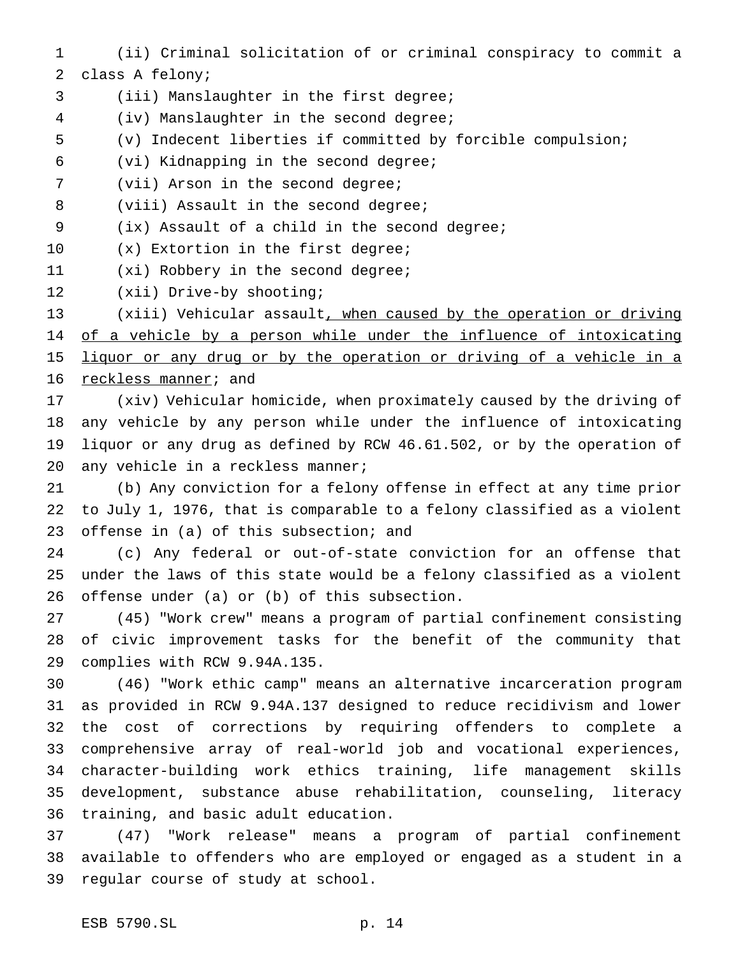- (ii) Criminal solicitation of or criminal conspiracy to commit a class A felony;
- (iii) Manslaughter in the first degree;
- (iv) Manslaughter in the second degree;
- (v) Indecent liberties if committed by forcible compulsion;
- (vi) Kidnapping in the second degree;
- (vii) Arson in the second degree;
- 8 (viii) Assault in the second degree;
- (ix) Assault of a child in the second degree;
- 10 (x) Extortion in the first degree;
- 11 (xi) Robbery in the second degree;
- (xii) Drive-by shooting;

 (xiii) Vehicular assault, when caused by the operation or driving 14 of a vehicle by a person while under the influence of intoxicating 15 liquor or any drug or by the operation or driving of a vehicle in a reckless manner; and

 (xiv) Vehicular homicide, when proximately caused by the driving of any vehicle by any person while under the influence of intoxicating liquor or any drug as defined by RCW 46.61.502, or by the operation of any vehicle in a reckless manner;

 (b) Any conviction for a felony offense in effect at any time prior to July 1, 1976, that is comparable to a felony classified as a violent 23 offense in (a) of this subsection; and

 (c) Any federal or out-of-state conviction for an offense that under the laws of this state would be a felony classified as a violent offense under (a) or (b) of this subsection.

 (45) "Work crew" means a program of partial confinement consisting of civic improvement tasks for the benefit of the community that complies with RCW 9.94A.135.

 (46) "Work ethic camp" means an alternative incarceration program as provided in RCW 9.94A.137 designed to reduce recidivism and lower the cost of corrections by requiring offenders to complete a comprehensive array of real-world job and vocational experiences, character-building work ethics training, life management skills development, substance abuse rehabilitation, counseling, literacy training, and basic adult education.

 (47) "Work release" means a program of partial confinement available to offenders who are employed or engaged as a student in a regular course of study at school.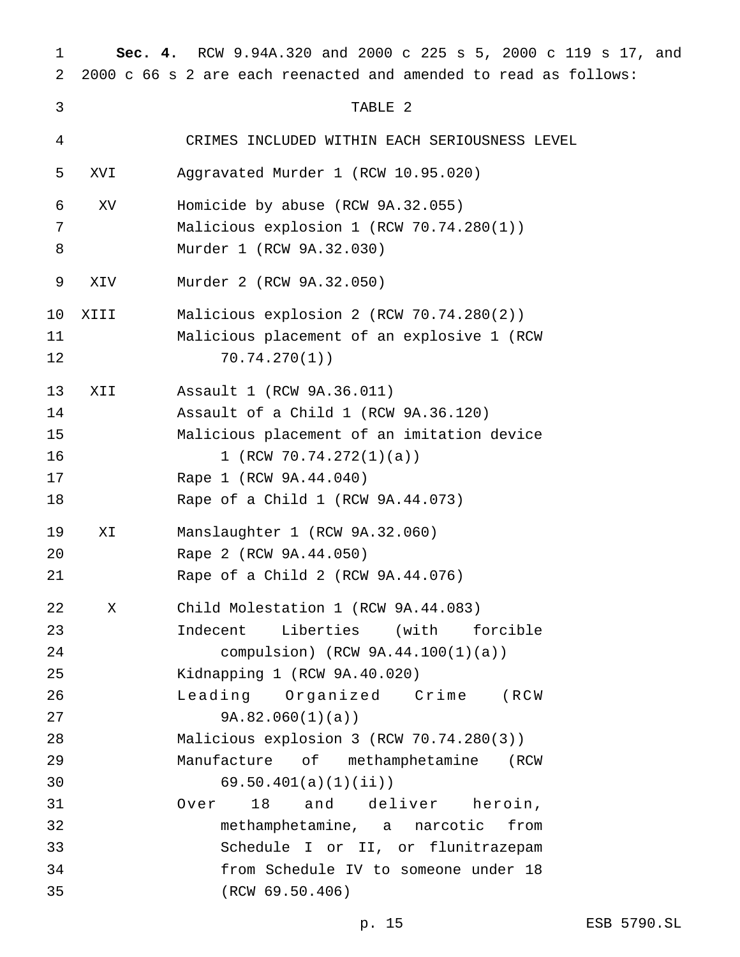| 1  | Sec. 4.    | RCW 9.94A.320 and 2000 c 225 s 5, 2000 c 119 s 17, and           |
|----|------------|------------------------------------------------------------------|
| 2  |            | 2000 c 66 s 2 are each reenacted and amended to read as follows: |
| 3  |            | TABLE 2                                                          |
| 4  |            | CRIMES INCLUDED WITHIN EACH SERIOUSNESS LEVEL                    |
| 5  | <b>IVX</b> | Aggravated Murder 1 (RCW 10.95.020)                              |
| 6  | XV         | Homicide by abuse (RCW 9A.32.055)                                |
| 7  |            | Malicious explosion 1 (RCW 70.74.280(1))                         |
| 8  |            | Murder 1 (RCW 9A.32.030)                                         |
| 9  | XIV        | Murder 2 (RCW 9A.32.050)                                         |
| 10 | XIII       | Malicious explosion 2 (RCW 70.74.280(2))                         |
| 11 |            | Malicious placement of an explosive 1 (RCW                       |
| 12 |            | 70.74.270(1)                                                     |
| 13 | XII        | Assault 1 (RCW 9A.36.011)                                        |
| 14 |            | Assault of a Child 1 (RCW 9A.36.120)                             |
| 15 |            | Malicious placement of an imitation device                       |
| 16 |            | 1 (RCW $70.74.272(1)(a)$ )                                       |
| 17 |            | Rape 1 (RCW 9A.44.040)                                           |
| 18 |            | Rape of a Child 1 (RCW 9A.44.073)                                |
| 19 | ΧI         | Manslaughter 1 (RCW 9A.32.060)                                   |
| 20 |            | Rape 2 (RCW 9A.44.050)                                           |
| 21 |            | Rape of a Child 2 (RCW 9A.44.076)                                |
| 22 | X          | Child Molestation 1 (RCW 9A.44.083)                              |
| 23 |            | Indecent Liberties (with forcible                                |
| 24 |            | compulsion) $(RCW 9A.44.100(1)(a))$                              |
| 25 |            | Kidnapping 1 (RCW 9A.40.020)                                     |
| 26 |            | Leading Organized Crime (RCW                                     |
| 27 |            | 9A.82.060(1)(a)                                                  |
| 28 |            | Malicious explosion 3 (RCW 70.74.280(3))                         |
| 29 |            | Manufacture of methamphetamine<br>(RCW                           |
| 30 |            | 69.50.401(a)(1)(ii)                                              |
| 31 |            | and deliver heroin,<br>18<br>Over                                |
| 32 |            | methamphetamine, a narcotic<br>from                              |
| 33 |            | Schedule I or II, or flunitrazepam                               |
| 34 |            | from Schedule IV to someone under 18                             |
| 35 |            | (RCW 69.50.406)                                                  |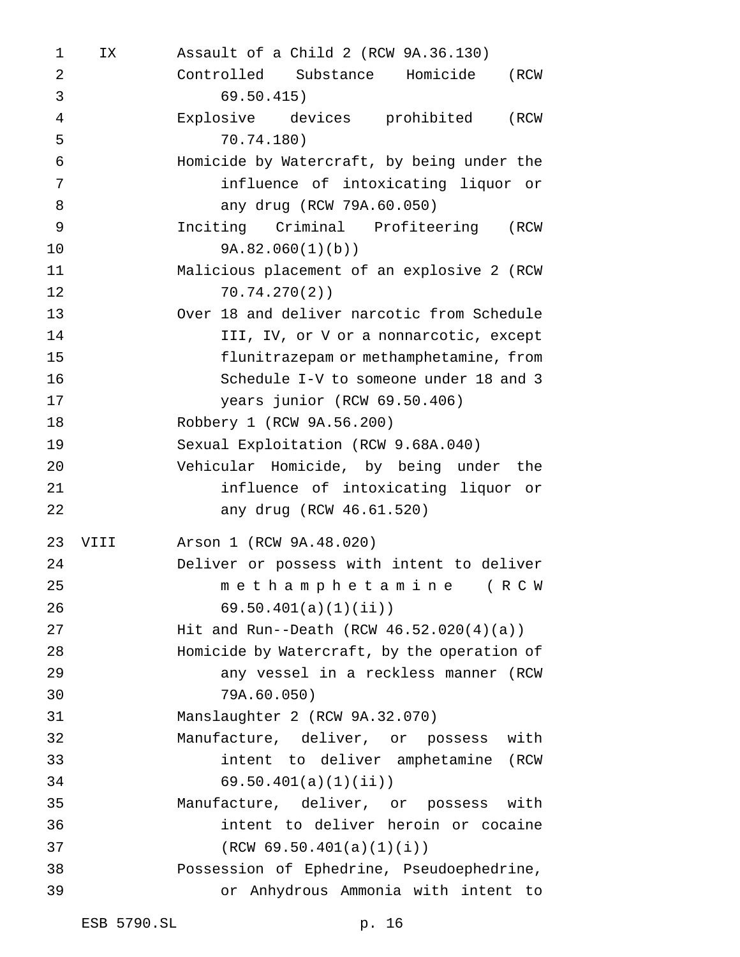| 1              | IX   | Assault of a Child 2 (RCW 9A.36.130)        |
|----------------|------|---------------------------------------------|
| $\overline{2}$ |      | Controlled Substance Homicide<br>(RCW       |
| 3              |      | 69.50.415)                                  |
| $\overline{4}$ |      | Explosive devices prohibited<br>(RCW        |
| 5              |      | 70.74.180)                                  |
| $\epsilon$     |      | Homicide by Watercraft, by being under the  |
| 7              |      | influence of intoxicating liquor or         |
| 8              |      | any drug (RCW 79A.60.050)                   |
| 9              |      | Inciting Criminal Profiteering (RCW         |
| 10             |      | 9A.82.060(1)(b)                             |
| 11             |      | Malicious placement of an explosive 2 (RCW  |
| 12             |      | 70.74.270(2)                                |
| 13             |      | Over 18 and deliver narcotic from Schedule  |
| 14             |      | III, IV, or V or a nonnarcotic, except      |
| 15             |      | flunitrazepam or methamphetamine, from      |
| 16             |      | Schedule I-V to someone under 18 and 3      |
| 17             |      | years junior (RCW 69.50.406)                |
| 18             |      | Robbery 1 (RCW 9A.56.200)                   |
| 19             |      | Sexual Exploitation (RCW 9.68A.040)         |
| 20             |      | Vehicular Homicide, by being under the      |
| 21             |      | influence of intoxicating liquor or         |
| 22             |      | any drug (RCW 46.61.520)                    |
| 23             | VIII | Arson 1 (RCW 9A.48.020)                     |
| 24             |      | Deliver or possess with intent to deliver   |
| 25             |      | methamphetamine (RCW                        |
| 26             |      | 69.50.401(a)(1)(ii)                         |
| 27             |      | Hit and Run--Death (RCW $46.52.020(4)(a)$ ) |
| 28             |      | Homicide by Watercraft, by the operation of |
| 29             |      | any vessel in a reckless manner (RCW        |
| 30             |      | 79A.60.050)                                 |
| 31             |      | Manslaughter 2 (RCW 9A.32.070)              |
| 32             |      | Manufacture, deliver, or possess with       |
| 33             |      | intent to deliver amphetamine (RCW          |
| 34             |      | 69.50.401(a)(1)(ii)                         |
| 35             |      | Manufacture, deliver, or possess with       |
| 36             |      | intent to deliver heroin or cocaine         |
| 37             |      | (RCW 69.50.401(a)(1)(i))                    |
| 38             |      | Possession of Ephedrine, Pseudoephedrine,   |
| 39             |      | or Anhydrous Ammonia with intent to         |
|                |      |                                             |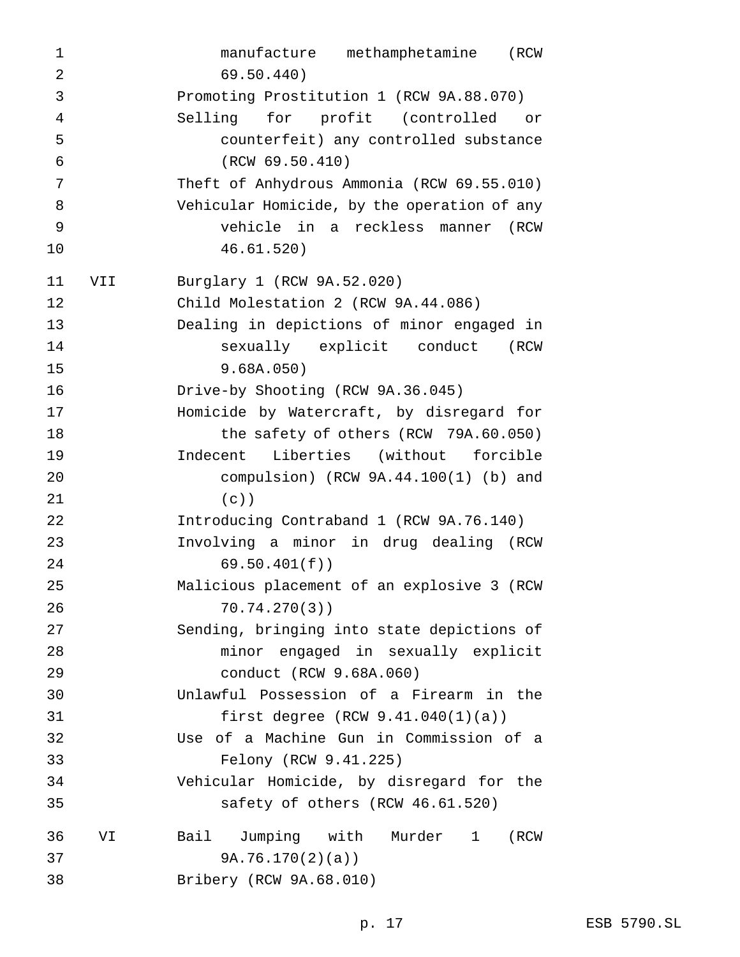manufacture methamphetamine (RCW 69.50.440) Promoting Prostitution 1 (RCW 9A.88.070) Selling for profit (controlled or counterfeit) any controlled substance (RCW 69.50.410) Theft of Anhydrous Ammonia (RCW 69.55.010) Vehicular Homicide, by the operation of any vehicle in a reckless manner (RCW 46.61.520) VII Burglary 1 (RCW 9A.52.020) Child Molestation 2 (RCW 9A.44.086) Dealing in depictions of minor engaged in sexually explicit conduct (RCW 9.68A.050) Drive-by Shooting (RCW 9A.36.045) Homicide by Watercraft, by disregard for 18 the safety of others (RCW 79A.60.050) Indecent Liberties (without forcible compulsion) (RCW 9A.44.100(1) (b) and (c)) Introducing Contraband 1 (RCW 9A.76.140) Involving a minor in drug dealing (RCW 69.50.401(f)) Malicious placement of an explosive 3 (RCW 70.74.270(3)) Sending, bringing into state depictions of minor engaged in sexually explicit conduct (RCW 9.68A.060) Unlawful Possession of a Firearm in the first degree (RCW 9.41.040(1)(a)) Use of a Machine Gun in Commission of a Felony (RCW 9.41.225) Vehicular Homicide, by disregard for the safety of others (RCW 46.61.520) VI Bail Jumping with Murder 1 (RCW 9A.76.170(2)(a)) Bribery (RCW 9A.68.010)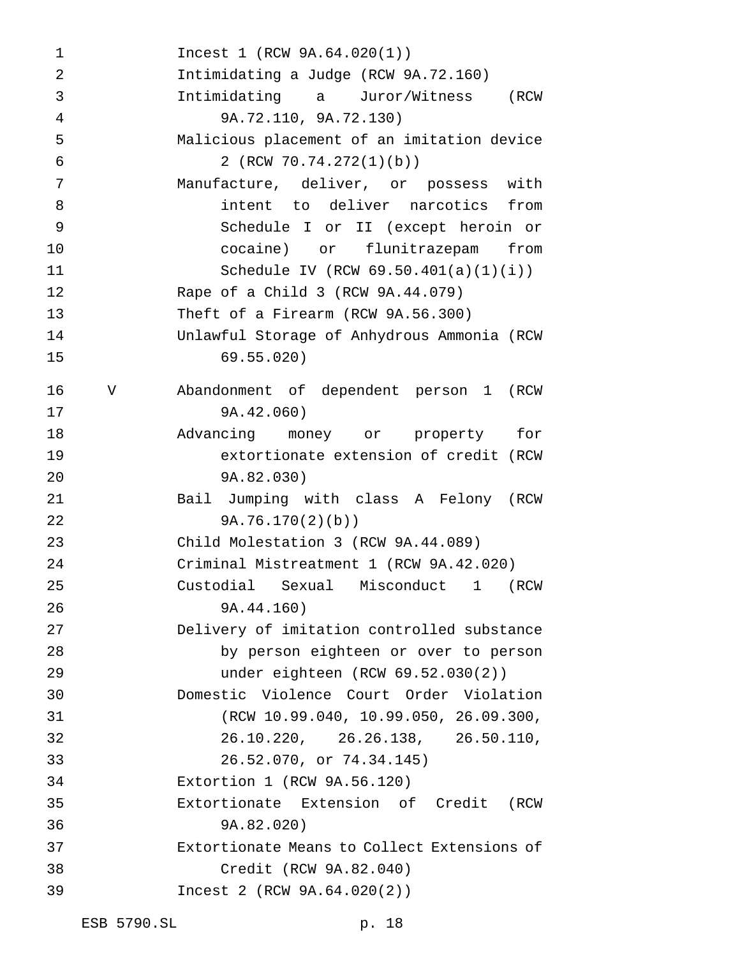Incest 1 (RCW 9A.64.020(1)) Intimidating a Judge (RCW 9A.72.160) Intimidating a Juror/Witness (RCW 9A.72.110, 9A.72.130) Malicious placement of an imitation device 2 (RCW 70.74.272(1)(b)) Manufacture, deliver, or possess with intent to deliver narcotics from Schedule I or II (except heroin or cocaine) or flunitrazepam from Schedule IV (RCW 69.50.401(a)(1)(i)) Rape of a Child 3 (RCW 9A.44.079) Theft of a Firearm (RCW 9A.56.300) Unlawful Storage of Anhydrous Ammonia (RCW 69.55.020) V Abandonment of dependent person 1 (RCW 9A.42.060) Advancing money or property for extortionate extension of credit (RCW 9A.82.030) Bail Jumping with class A Felony (RCW 9A.76.170(2)(b)) Child Molestation 3 (RCW 9A.44.089) Criminal Mistreatment 1 (RCW 9A.42.020) Custodial Sexual Misconduct 1 (RCW 9A.44.160) Delivery of imitation controlled substance by person eighteen or over to person under eighteen (RCW 69.52.030(2)) Domestic Violence Court Order Violation (RCW 10.99.040, 10.99.050, 26.09.300, 26.10.220, 26.26.138, 26.50.110, 26.52.070, or 74.34.145) Extortion 1 (RCW 9A.56.120) Extortionate Extension of Credit (RCW 9A.82.020) Extortionate Means to Collect Extensions of Credit (RCW 9A.82.040) Incest 2 (RCW 9A.64.020(2))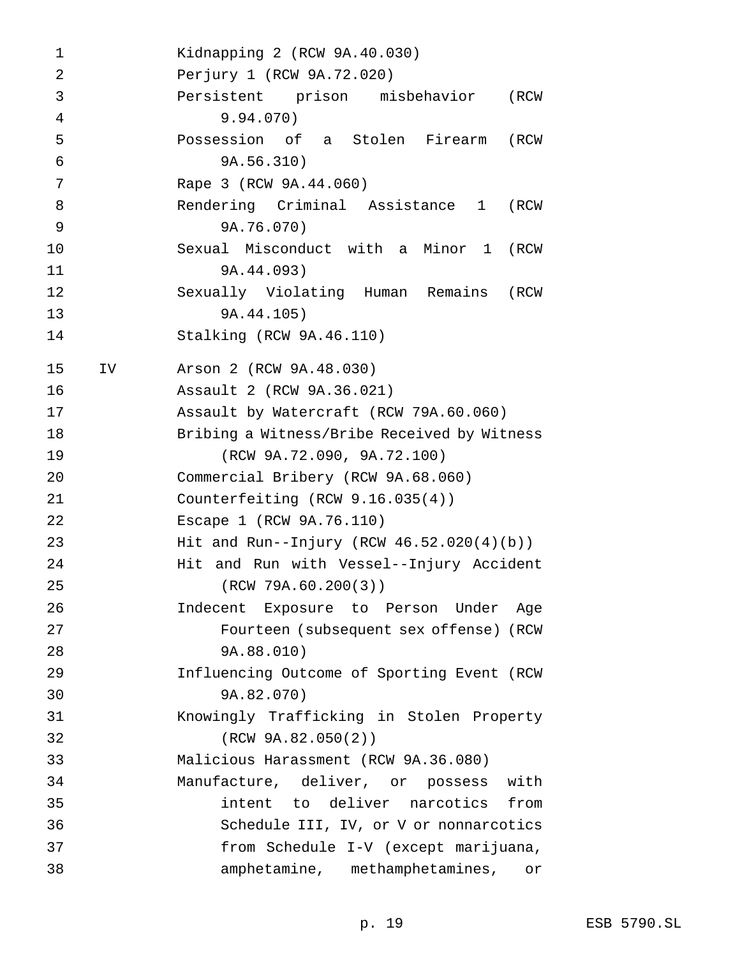Kidnapping 2 (RCW 9A.40.030) Perjury 1 (RCW 9A.72.020) Persistent prison misbehavior (RCW 9.94.070) Possession of a Stolen Firearm (RCW 9A.56.310) Rape 3 (RCW 9A.44.060) Rendering Criminal Assistance 1 (RCW 9A.76.070) Sexual Misconduct with a Minor 1 (RCW 9A.44.093) Sexually Violating Human Remains (RCW 9A.44.105) Stalking (RCW 9A.46.110) IV Arson 2 (RCW 9A.48.030) Assault 2 (RCW 9A.36.021) Assault by Watercraft (RCW 79A.60.060) Bribing a Witness/Bribe Received by Witness (RCW 9A.72.090, 9A.72.100) Commercial Bribery (RCW 9A.68.060) Counterfeiting (RCW 9.16.035(4)) Escape 1 (RCW 9A.76.110) Hit and Run--Injury (RCW 46.52.020(4)(b)) Hit and Run with Vessel--Injury Accident (RCW 79A.60.200(3)) Indecent Exposure to Person Under Age Fourteen (subsequent sex offense) (RCW 9A.88.010) Influencing Outcome of Sporting Event (RCW 9A.82.070) Knowingly Trafficking in Stolen Property (RCW 9A.82.050(2)) Malicious Harassment (RCW 9A.36.080) Manufacture, deliver, or possess with intent to deliver narcotics from Schedule III, IV, or V or nonnarcotics from Schedule I-V (except marijuana, amphetamine, methamphetamines, or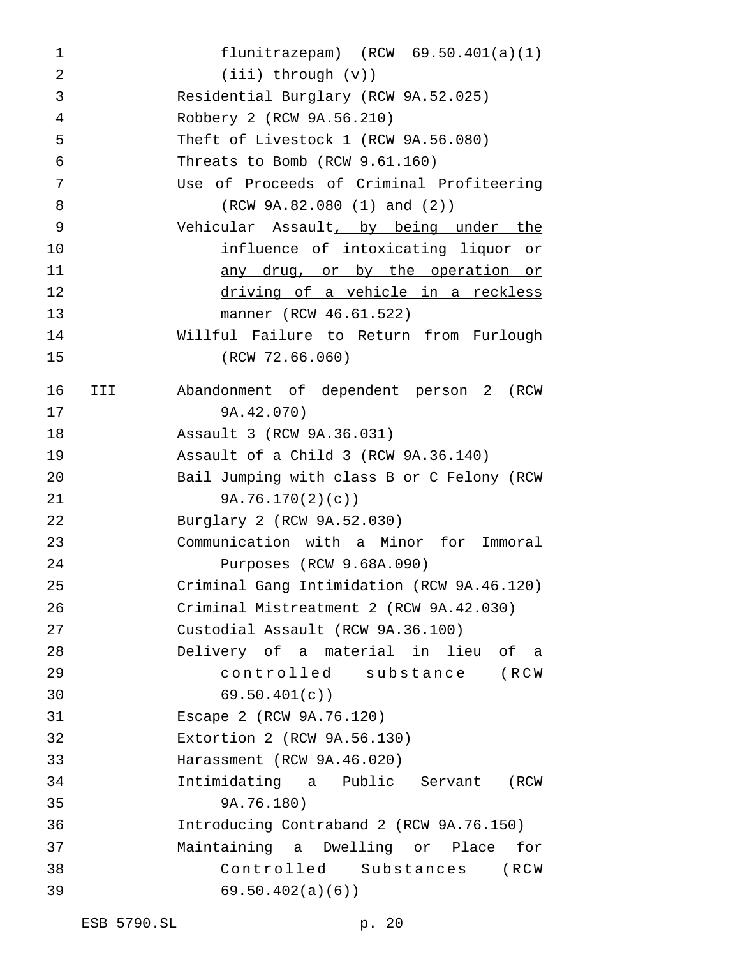flunitrazepam) (RCW 69.50.401(a)(1) (iii) through (v)) Residential Burglary (RCW 9A.52.025) Robbery 2 (RCW 9A.56.210) Theft of Livestock 1 (RCW 9A.56.080) Threats to Bomb (RCW 9.61.160) Use of Proceeds of Criminal Profiteering (RCW 9A.82.080 (1) and (2)) Vehicular Assault, by being under the **influence of intoxicating liquor or** 11 any drug, or by the operation or driving of a vehicle in a reckless manner (RCW 46.61.522) Willful Failure to Return from Furlough (RCW 72.66.060) III Abandonment of dependent person 2 (RCW 9A.42.070) Assault 3 (RCW 9A.36.031) Assault of a Child 3 (RCW 9A.36.140) Bail Jumping with class B or C Felony (RCW 9A.76.170(2)(c)) Burglary 2 (RCW 9A.52.030) Communication with a Minor for Immoral Purposes (RCW 9.68A.090) Criminal Gang Intimidation (RCW 9A.46.120) Criminal Mistreatment 2 (RCW 9A.42.030) Custodial Assault (RCW 9A.36.100) Delivery of a material in lieu of a controlled substance (RCW 69.50.401(c)) Escape 2 (RCW 9A.76.120) Extortion 2 (RCW 9A.56.130) Harassment (RCW 9A.46.020) Intimidating a Public Servant (RCW 9A.76.180) Introducing Contraband 2 (RCW 9A.76.150) Maintaining a Dwelling or Place for Controlled Substances (RCW 69.50.402(a)(6))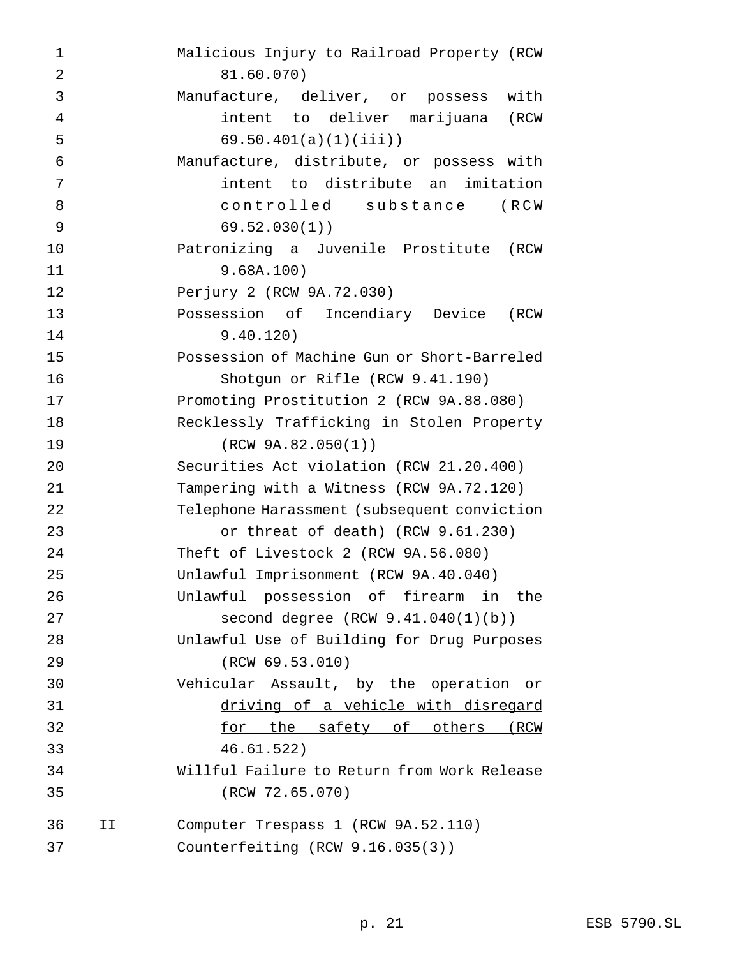| $\mathbf 1$    |    | Malicious Injury to Railroad Property (RCW  |
|----------------|----|---------------------------------------------|
| $\overline{2}$ |    | 81.60.070)                                  |
| 3              |    | Manufacture, deliver, or possess<br>with    |
| 4              |    | intent to deliver marijuana (RCW            |
| 5              |    | $69.50.401(a)(1)(iii)$ )                    |
| 6              |    | Manufacture, distribute, or possess with    |
| 7              |    | intent to distribute an imitation           |
| 8              |    | controlled substance<br>(RCW                |
| 9              |    | 69.52.030(1)                                |
| 10             |    | Patronizing a Juvenile Prostitute (RCW      |
| 11             |    | 9.68A.100)                                  |
| 12             |    | Perjury 2 (RCW 9A.72.030)                   |
| 13             |    | Possession of Incendiary Device<br>(RCW     |
| 14             |    | 9.40.120)                                   |
| 15             |    | Possession of Machine Gun or Short-Barreled |
| 16             |    | Shotgun or Rifle (RCW 9.41.190)             |
| 17             |    | Promoting Prostitution 2 (RCW 9A.88.080)    |
| 18             |    | Recklessly Trafficking in Stolen Property   |
| 19             |    | (RCW 9A.82.050(1))                          |
| 20             |    | Securities Act violation (RCW 21.20.400)    |
| 21             |    | Tampering with a Witness (RCW 9A.72.120)    |
| 22             |    | Telephone Harassment (subsequent conviction |
| 23             |    | or threat of death) (RCW 9.61.230)          |
| 24             |    | Theft of Livestock 2 (RCW 9A.56.080)        |
| 25             |    | Unlawful Imprisonment (RCW 9A.40.040)       |
| 26             |    | Unlawful possession of firearm in the       |
| 27             |    | second degree $(RCW 9.41.040(1)(b))$        |
| 28             |    | Unlawful Use of Building for Drug Purposes  |
| 29             |    | (RCW 69.53.010)                             |
| 30             |    | Vehicular Assault, by the operation or      |
| 31             |    | driving of a vehicle with disregard         |
| 32             |    | for the safety of others (RCW               |
| 33             |    | <u>46.61.522)</u>                           |
| 34             |    | Willful Failure to Return from Work Release |
| 35             |    | (RCW 72.65.070)                             |
| 36             | ΙI | Computer Trespass 1 (RCW 9A.52.110)         |
| 37             |    | Counterfeiting (RCW 9.16.035(3))            |
|                |    |                                             |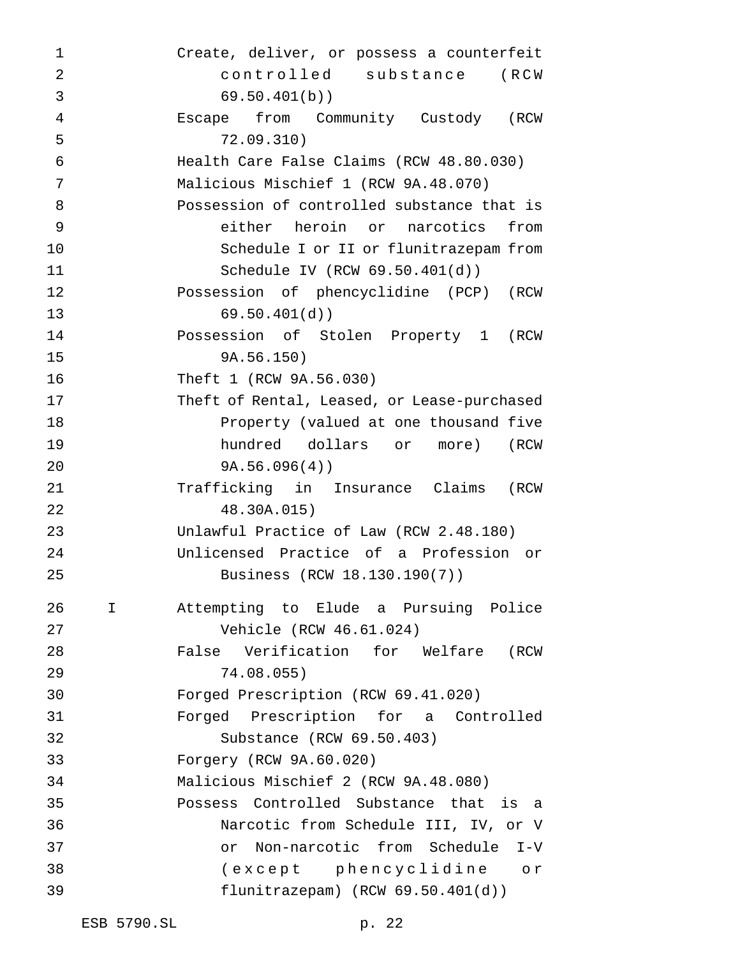Create, deliver, or possess a counterfeit controlled substance (RCW 69.50.401(b)) Escape from Community Custody (RCW 72.09.310) Health Care False Claims (RCW 48.80.030) Malicious Mischief 1 (RCW 9A.48.070) Possession of controlled substance that is either heroin or narcotics from Schedule I or II or flunitrazepam from Schedule IV (RCW 69.50.401(d)) Possession of phencyclidine (PCP) (RCW 69.50.401(d)) Possession of Stolen Property 1 (RCW 9A.56.150) Theft 1 (RCW 9A.56.030) Theft of Rental, Leased, or Lease-purchased Property (valued at one thousand five hundred dollars or more) (RCW 9A.56.096(4)) Trafficking in Insurance Claims (RCW 48.30A.015) Unlawful Practice of Law (RCW 2.48.180) Unlicensed Practice of a Profession or Business (RCW 18.130.190(7)) I Attempting to Elude a Pursuing Police Vehicle (RCW 46.61.024) False Verification for Welfare (RCW 74.08.055) Forged Prescription (RCW 69.41.020) Forged Prescription for a Controlled Substance (RCW 69.50.403) Forgery (RCW 9A.60.020) Malicious Mischief 2 (RCW 9A.48.080) Possess Controlled Substance that is a Narcotic from Schedule III, IV, or V or Non-narcotic from Schedule I-V (except phencyclidine or flunitrazepam) (RCW 69.50.401(d))